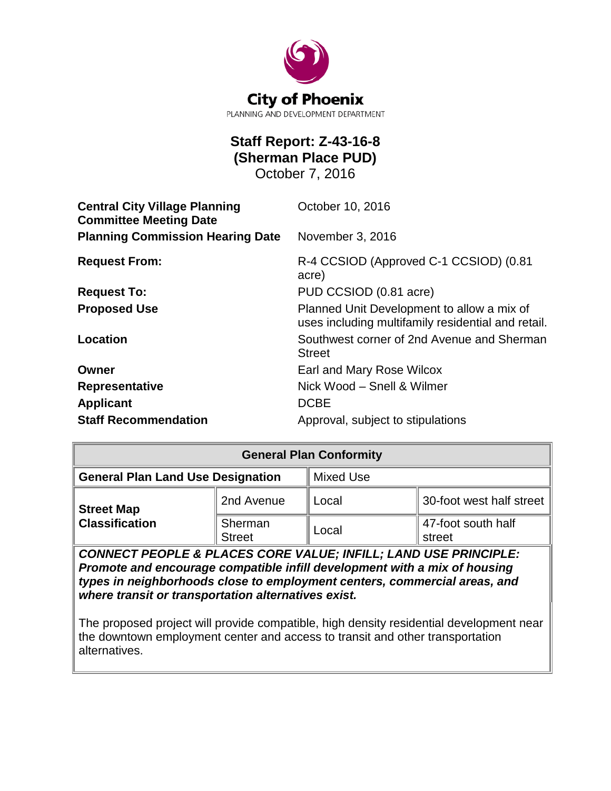

# **Staff Report: Z-43-16-8 (Sherman Place PUD)** October 7, 2016

| <b>Central City Village Planning</b><br><b>Committee Meeting Date</b> | October 10, 2016                                                                                 |
|-----------------------------------------------------------------------|--------------------------------------------------------------------------------------------------|
| <b>Planning Commission Hearing Date</b>                               | November 3, 2016                                                                                 |
| <b>Request From:</b>                                                  | R-4 CCSIOD (Approved C-1 CCSIOD) (0.81<br>acre)                                                  |
| <b>Request To:</b>                                                    | PUD CCSIOD (0.81 acre)                                                                           |
| <b>Proposed Use</b>                                                   | Planned Unit Development to allow a mix of<br>uses including multifamily residential and retail. |
| Location                                                              | Southwest corner of 2nd Avenue and Sherman<br><b>Street</b>                                      |
| Owner                                                                 | Earl and Mary Rose Wilcox                                                                        |
| <b>Representative</b>                                                 | Nick Wood - Snell & Wilmer                                                                       |
| <b>Applicant</b>                                                      | <b>DCBE</b>                                                                                      |
| <b>Staff Recommendation</b>                                           | Approval, subject to stipulations                                                                |

| <b>General Plan Conformity</b>                                  |                          |                  |                              |
|-----------------------------------------------------------------|--------------------------|------------------|------------------------------|
| <b>General Plan Land Use Designation</b>                        |                          | <b>Mixed Use</b> |                              |
| <b>Street Map</b>                                               | 2nd Avenue               | Local            | 30-foot west half street     |
| <b>Classification</b>                                           | Sherman<br><b>Street</b> | Local            | 47-foot south half<br>street |
| CONNECT PEOPLE & PLACES CORE VALUE; INFILL; LAND USE PRINCIPLE: |                          |                  |                              |

*Promote and encourage compatible infill development with a mix of housing types in neighborhoods close to employment centers, commercial areas, and where transit or transportation alternatives exist.*

The proposed project will provide compatible, high density residential development near the downtown employment center and access to transit and other transportation alternatives.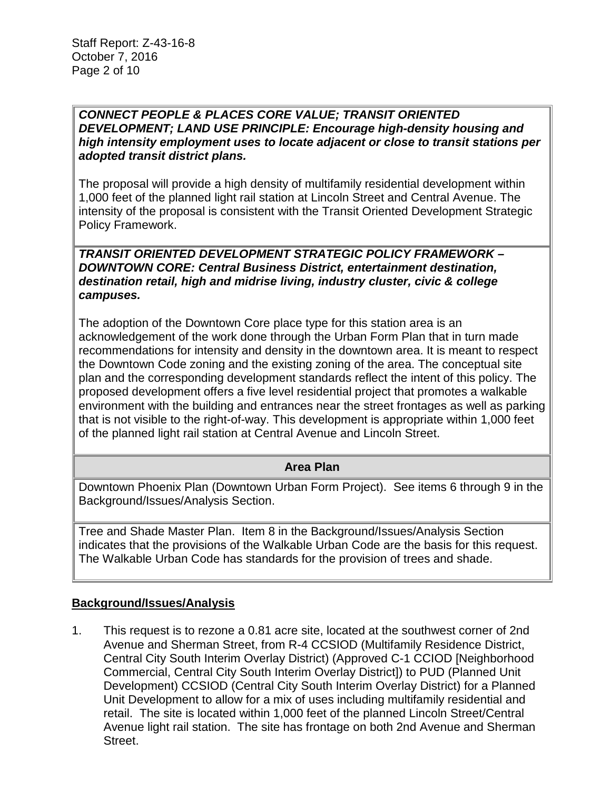*CONNECT PEOPLE & PLACES CORE VALUE; TRANSIT ORIENTED DEVELOPMENT; LAND USE PRINCIPLE: Encourage high-density housing and high intensity employment uses to locate adjacent or close to transit stations per adopted transit district plans.*

The proposal will provide a high density of multifamily residential development within 1,000 feet of the planned light rail station at Lincoln Street and Central Avenue. The intensity of the proposal is consistent with the Transit Oriented Development Strategic Policy Framework.

*TRANSIT ORIENTED DEVELOPMENT STRATEGIC POLICY FRAMEWORK – DOWNTOWN CORE: Central Business District, entertainment destination, destination retail, high and midrise living, industry cluster, civic & college campuses.*

The adoption of the Downtown Core place type for this station area is an acknowledgement of the work done through the Urban Form Plan that in turn made recommendations for intensity and density in the downtown area. It is meant to respect the Downtown Code zoning and the existing zoning of the area. The conceptual site plan and the corresponding development standards reflect the intent of this policy. The proposed development offers a five level residential project that promotes a walkable environment with the building and entrances near the street frontages as well as parking that is not visible to the right-of-way. This development is appropriate within 1,000 feet of the planned light rail station at Central Avenue and Lincoln Street.

#### **Area Plan**

Downtown Phoenix Plan (Downtown Urban Form Project). See items 6 through 9 in the Background/Issues/Analysis Section.

Tree and Shade Master Plan. Item 8 in the Background/Issues/Analysis Section indicates that the provisions of the Walkable Urban Code are the basis for this request. The Walkable Urban Code has standards for the provision of trees and shade.

#### **Background/Issues/Analysis**

1. This request is to rezone a 0.81 acre site, located at the southwest corner of 2nd Avenue and Sherman Street, from R-4 CCSIOD (Multifamily Residence District, Central City South Interim Overlay District) (Approved C-1 CCIOD [Neighborhood Commercial, Central City South Interim Overlay District]) to PUD (Planned Unit Development) CCSIOD (Central City South Interim Overlay District) for a Planned Unit Development to allow for a mix of uses including multifamily residential and retail. The site is located within 1,000 feet of the planned Lincoln Street/Central Avenue light rail station. The site has frontage on both 2nd Avenue and Sherman Street.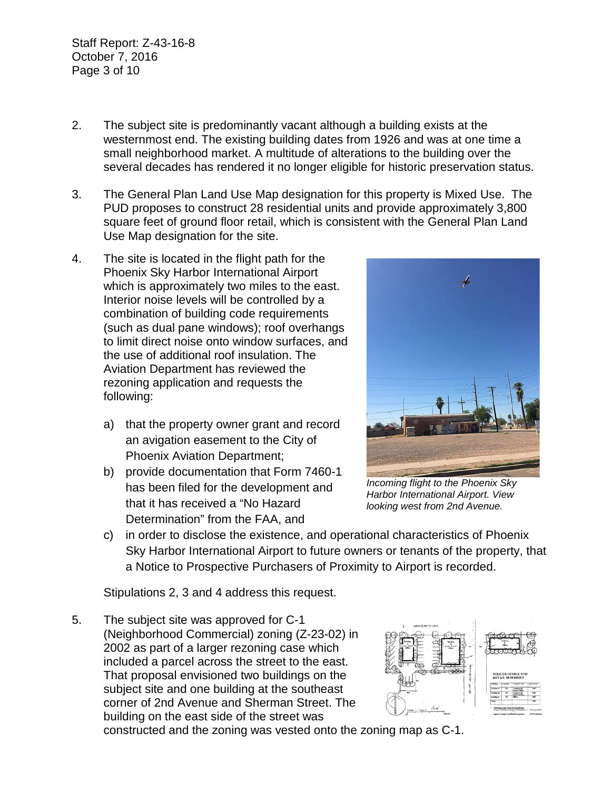Staff Report: Z-43-16-8 October 7, 2016 Page 3 of 10

- 2. The subject site is predominantly vacant although a building exists at the westernmost end. The existing building dates from 1926 and was at one time a small neighborhood market. A multitude of alterations to the building over the several decades has rendered it no longer eligible for historic preservation status.
- 3. The General Plan Land Use Map designation for this property is Mixed Use. The PUD proposes to construct 28 residential units and provide approximately 3,800 square feet of ground floor retail, which is consistent with the General Plan Land Use Map designation for the site.
- 4. The site is located in the flight path for the Phoenix Sky Harbor International Airport which is approximately two miles to the east. Interior noise levels will be controlled by a combination of building code requirements (such as dual pane windows); roof overhangs to limit direct noise onto window surfaces, and the use of additional roof insulation. The Aviation Department has reviewed the rezoning application and requests the following:
	- a) that the property owner grant and record an avigation easement to the City of Phoenix Aviation Department;
	- b) provide documentation that Form 7460-1 has been filed for the development and that it has received a "No Hazard Determination" from the FAA, and



*Incoming flight to the Phoenix Sky Harbor International Airport. View looking west from 2nd Avenue.*

c) in order to disclose the existence, and operational characteristics of Phoenix Sky Harbor International Airport to future owners or tenants of the property, that a Notice to Prospective Purchasers of Proximity to Airport is recorded.

Stipulations 2, 3 and 4 address this request.

5. The subject site was approved for C-1 (Neighborhood Commercial) zoning (Z-23-02) in 2002 as part of a larger rezoning case which included a parcel across the street to the east. That proposal envisioned two buildings on the subject site and one building at the southeast corner of 2nd Avenue and Sherman Street. The building on the east side of the street was



constructed and the zoning was vested onto the zoning map as C-1.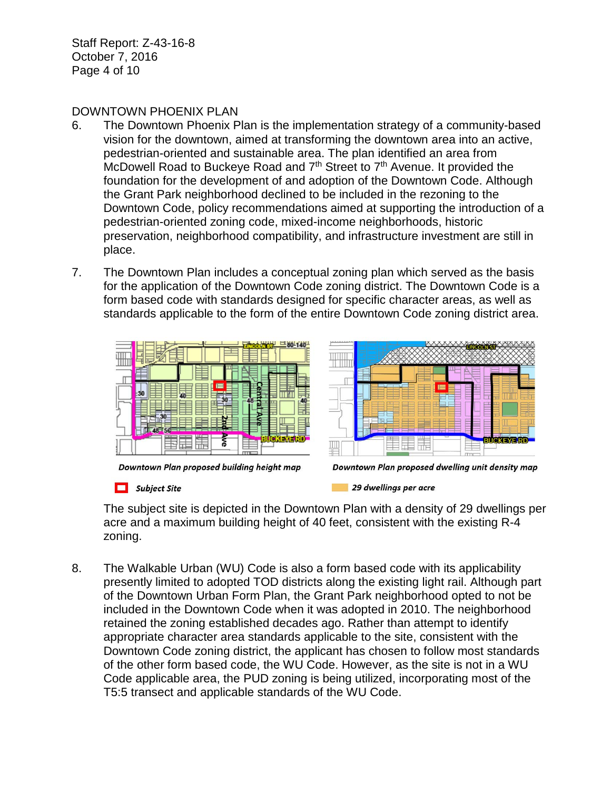Staff Report: Z-43-16-8 October 7, 2016 Page 4 of 10

#### DOWNTOWN PHOENIX PLAN

- 6. The Downtown Phoenix Plan is the implementation strategy of a community-based vision for the downtown, aimed at transforming the downtown area into an active, pedestrian-oriented and sustainable area. The plan identified an area from McDowell Road to Buckeye Road and 7<sup>th</sup> Street to 7<sup>th</sup> Avenue. It provided the foundation for the development of and adoption of the Downtown Code. Although the Grant Park neighborhood declined to be included in the rezoning to the Downtown Code, policy recommendations aimed at supporting the introduction of a pedestrian-oriented zoning code, mixed-income neighborhoods, historic preservation, neighborhood compatibility, and infrastructure investment are still in place.
- 7. The Downtown Plan includes a conceptual zoning plan which served as the basis for the application of the Downtown Code zoning district. The Downtown Code is a form based code with standards designed for specific character areas, as well as standards applicable to the form of the entire Downtown Code zoning district area.





Downtown Plan proposed building height map

 $\Box$  Subject Site

29 dwellings per acre

The subject site is depicted in the Downtown Plan with a density of 29 dwellings per acre and a maximum building height of 40 feet, consistent with the existing R-4 zoning.

8. The Walkable Urban (WU) Code is also a form based code with its applicability presently limited to adopted TOD districts along the existing light rail. Although part of the Downtown Urban Form Plan, the Grant Park neighborhood opted to not be included in the Downtown Code when it was adopted in 2010. The neighborhood retained the zoning established decades ago. Rather than attempt to identify appropriate character area standards applicable to the site, consistent with the Downtown Code zoning district, the applicant has chosen to follow most standards of the other form based code, the WU Code. However, as the site is not in a WU Code applicable area, the PUD zoning is being utilized, incorporating most of the T5:5 transect and applicable standards of the WU Code.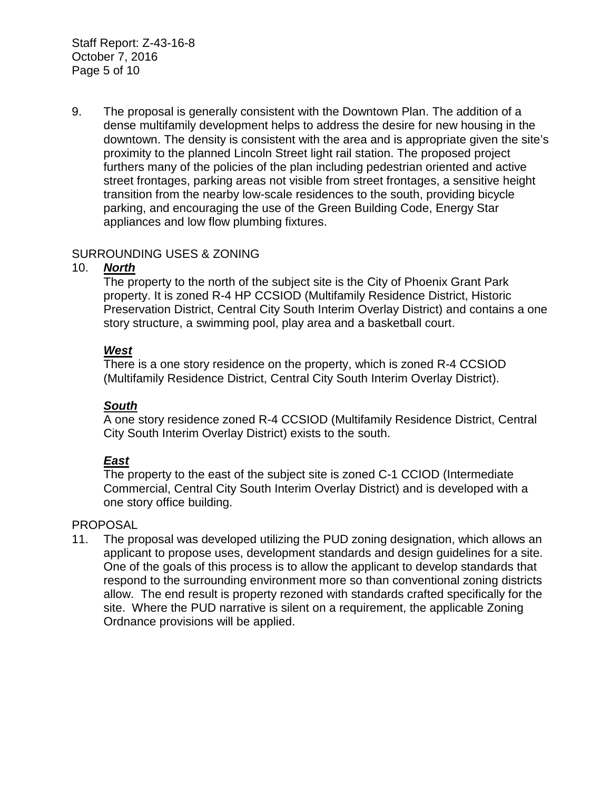Staff Report: Z-43-16-8 October 7, 2016 Page 5 of 10

9. The proposal is generally consistent with the Downtown Plan. The addition of a dense multifamily development helps to address the desire for new housing in the downtown. The density is consistent with the area and is appropriate given the site's proximity to the planned Lincoln Street light rail station. The proposed project furthers many of the policies of the plan including pedestrian oriented and active street frontages, parking areas not visible from street frontages, a sensitive height transition from the nearby low-scale residences to the south, providing bicycle parking, and encouraging the use of the Green Building Code, Energy Star appliances and low flow plumbing fixtures.

### SURROUNDING USES & ZONING

### 10. *North*

The property to the north of the subject site is the City of Phoenix Grant Park property. It is zoned R-4 HP CCSIOD (Multifamily Residence District, Historic Preservation District, Central City South Interim Overlay District) and contains a one story structure, a swimming pool, play area and a basketball court.

### *West*

There is a one story residence on the property, which is zoned R-4 CCSIOD (Multifamily Residence District, Central City South Interim Overlay District).

#### *South*

A one story residence zoned R-4 CCSIOD (Multifamily Residence District, Central City South Interim Overlay District) exists to the south.

### *East*

The property to the east of the subject site is zoned C-1 CCIOD (Intermediate Commercial, Central City South Interim Overlay District) and is developed with a one story office building.

#### PROPOSAL

11. The proposal was developed utilizing the PUD zoning designation, which allows an applicant to propose uses, development standards and design guidelines for a site. One of the goals of this process is to allow the applicant to develop standards that respond to the surrounding environment more so than conventional zoning districts allow. The end result is property rezoned with standards crafted specifically for the site. Where the PUD narrative is silent on a requirement, the applicable Zoning Ordnance provisions will be applied.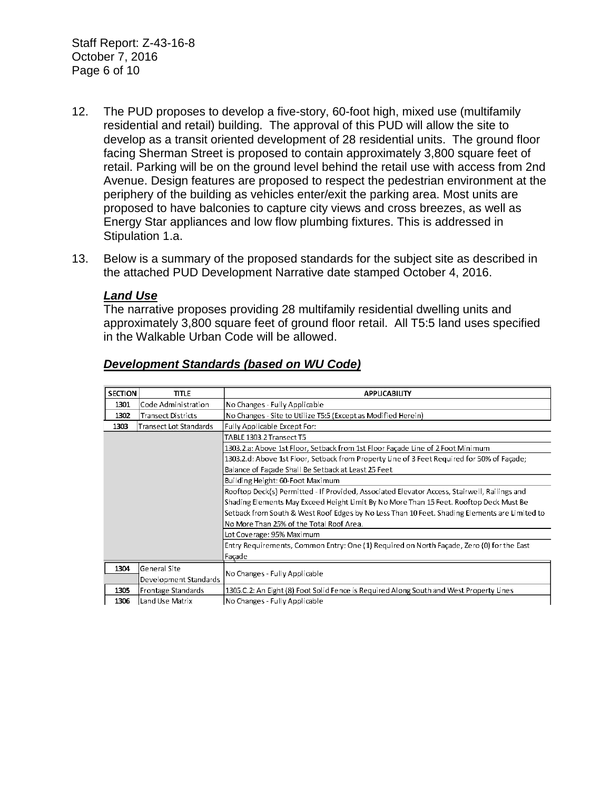Staff Report: Z-43-16-8 October 7, 2016 Page 6 of 10

- 12. The PUD proposes to develop a five-story, 60-foot high, mixed use (multifamily residential and retail) building. The approval of this PUD will allow the site to develop as a transit oriented development of 28 residential units. The ground floor facing Sherman Street is proposed to contain approximately 3,800 square feet of retail. Parking will be on the ground level behind the retail use with access from 2nd Avenue. Design features are proposed to respect the pedestrian environment at the periphery of the building as vehicles enter/exit the parking area. Most units are proposed to have balconies to capture city views and cross breezes, as well as Energy Star appliances and low flow plumbing fixtures. This is addressed in Stipulation 1.a.
- 13. Below is a summary of the proposed standards for the subject site as described in the attached PUD Development Narrative date stamped October 4, 2016.

#### *Land Use*

The narrative proposes providing 28 multifamily residential dwelling units and approximately 3,800 square feet of ground floor retail. All T5:5 land uses specified in the Walkable Urban Code will be allowed.

| <b>SECTION</b> | title.                        | <b>APPLICABILITY</b>                                                                          |
|----------------|-------------------------------|-----------------------------------------------------------------------------------------------|
| 1301           | Code Administration           | No Changes - Fully Applicable                                                                 |
| 1302           | <b>Transect Districts</b>     | No Changes - Site to Utilize T5:5 (Except as Modified Herein)                                 |
| 1303           | <b>Transect Lot Standards</b> | Fully Applicable Except For:                                                                  |
|                |                               | TABLE 1303.2 Transect T5                                                                      |
|                |                               | 1303.2.a: Above 1st Floor, Setback from 1st Floor Facade Line of 2 Foot Minimum               |
|                |                               | 1303.2.d: Above 1st Floor, Setback from Property Line of 3 Feet Required for 50% of Facade;   |
|                |                               | Balance of Façade Shall Be Setback at Least 25 Feet                                           |
|                |                               | Building Height: 60-Foot Maximum                                                              |
|                |                               | Rooftop Deck(s) Permitted - If Provided, Associated Elevator Access, Stairwell, Railings and  |
|                |                               | Shading Elements May Exceed Height Limit By No More Than 15 Feet. Rooftop Deck Must Be        |
|                |                               | Setback from South & West Roof Edges by No Less Than 10 Feet. Shading Elements are Limited to |
|                |                               | No More Than 25% of the Total Roof Area.                                                      |
|                |                               | Lot Coverage: 95% Maximum                                                                     |
|                |                               | Entry Requirements, Common Entry: One (1) Required on North Façade, Zero (0) for the East     |
|                |                               | Façade                                                                                        |
| 1304           | General Site                  |                                                                                               |
|                | Development Standards         | No Changes - Fully Applicable                                                                 |
| 1305           | Frontage Standards            | 1305.C.2: An Eight (8) Foot Solid Fence is Required Along South and West Property Lines       |
| 1306           | Land Use Matrix               | No Changes - Fully Applicable                                                                 |

#### *Development Standards (based on WU Code)*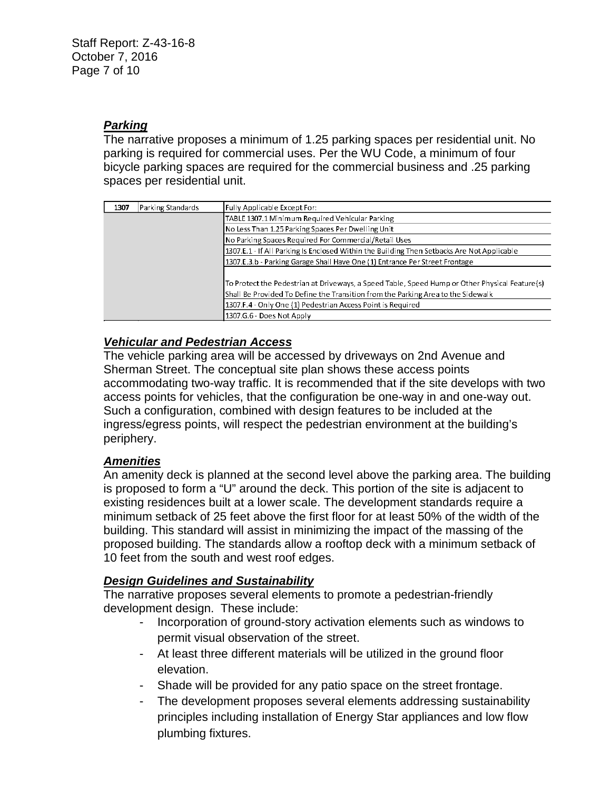## *Parking*

The narrative proposes a minimum of 1.25 parking spaces per residential unit. No parking is required for commercial uses. Per the WU Code, a minimum of four bicycle parking spaces are required for the commercial business and .25 parking spaces per residential unit.

| 1307 | Parking Standards | Fully Applicable Except For:                                                                   |
|------|-------------------|------------------------------------------------------------------------------------------------|
|      |                   | TABLE 1307.1 Minimum Required Vehicular Parking                                                |
|      |                   | No Less Than 1.25 Parking Spaces Per Dwelling Unit                                             |
|      |                   | No Parking Spaces Required For Commercial/Retail Uses                                          |
|      |                   | 1307.E.1 - If All Parking Is Enclosed Within the Building Then Setbacks Are Not Applicable     |
|      |                   | 1307.E.3.b - Parking Garage Shall Have One (1) Entrance Per Street Frontage                    |
|      |                   |                                                                                                |
|      |                   | To Protect the Pedestrian at Driveways, a Speed Table, Speed Hump or Other Physical Feature(s) |
|      |                   | Shall Be Provided To Define the Transition from the Parking Area to the Sidewalk               |
|      |                   | 1307.F.4 - Only One (1) Pedestrian Access Point is Required                                    |
|      |                   | 1307.G.6 - Does Not Apply                                                                      |

### *Vehicular and Pedestrian Access*

The vehicle parking area will be accessed by driveways on 2nd Avenue and Sherman Street. The conceptual site plan shows these access points accommodating two-way traffic. It is recommended that if the site develops with two access points for vehicles, that the configuration be one-way in and one-way out. Such a configuration, combined with design features to be included at the ingress/egress points, will respect the pedestrian environment at the building's periphery.

### *Amenities*

An amenity deck is planned at the second level above the parking area. The building is proposed to form a "U" around the deck. This portion of the site is adjacent to existing residences built at a lower scale. The development standards require a minimum setback of 25 feet above the first floor for at least 50% of the width of the building. This standard will assist in minimizing the impact of the massing of the proposed building. The standards allow a rooftop deck with a minimum setback of 10 feet from the south and west roof edges.

### *Design Guidelines and Sustainability*

The narrative proposes several elements to promote a pedestrian-friendly development design. These include:

- Incorporation of ground-story activation elements such as windows to permit visual observation of the street.
- At least three different materials will be utilized in the ground floor elevation.
- Shade will be provided for any patio space on the street frontage.
- The development proposes several elements addressing sustainability principles including installation of Energy Star appliances and low flow plumbing fixtures.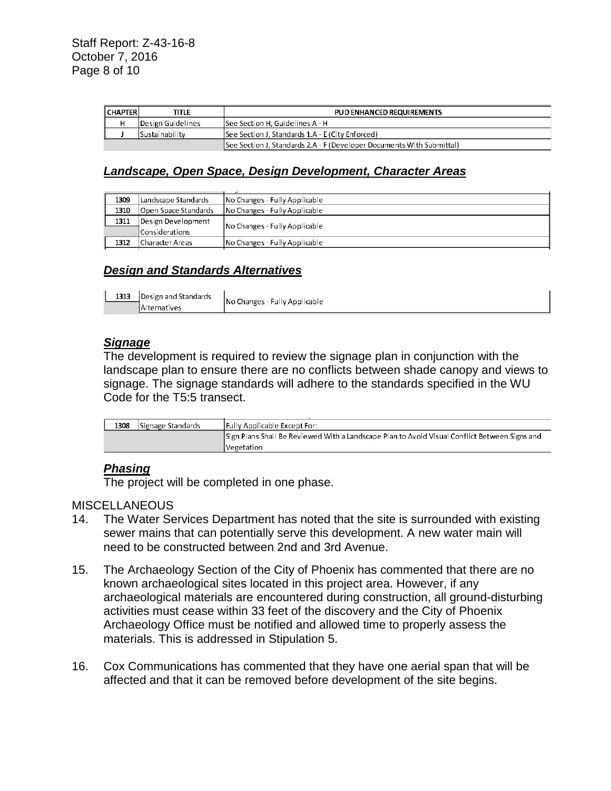| <b>I CHAPTER</b> | title             | PUD ENHANCED REQUIREMENTS                                             |
|------------------|-------------------|-----------------------------------------------------------------------|
|                  | Design Guidelines | See Section H. Guidelines A - H                                       |
|                  | ISustainability   | See Section J. Standards 1.A - E (City Enforced)                      |
|                  |                   | See Section J, Standards 2.A - F (Developer Documents With Submittal) |

### *Landscape, Open Space, Design Development, Character Areas*

| 1309 | Landscape Standards  | No Changes - Fully Applicable |
|------|----------------------|-------------------------------|
| 1310 | Open Space Standards | No Changes - Fully Applicable |
| 1311 | Design Development   | No Changes - Fully Applicable |
|      | Considerations       |                               |
| 1312 | lCharacter Areas     | No Changes - Fully Applicable |

#### *Design and Standards Alternatives*

| 1313   Design and Standards |  |
|-----------------------------|--|
| Alternatives                |  |

No Changes - Fully Applicable

#### *Signage*

The development is required to review the signage plan in conjunction with the landscape plan to ensure there are no conflicts between shade canopy and views to signage. The signage standards will adhere to the standards specified in the WU Code for the T5:5 transect.

| 1308 | Signage Standards | <b>IFully Applicable Except For:</b>                                                          |
|------|-------------------|-----------------------------------------------------------------------------------------------|
|      |                   | Sign Plans Shall Be Reviewed With a Landscape Plan to Avoid Visual Conflict Between Signs and |
|      |                   | Vegetation                                                                                    |

#### *Phasing*

The project will be completed in one phase.

#### **MISCELLANEOUS**

- 14. The Water Services Department has noted that the site is surrounded with existing sewer mains that can potentially serve this development. A new water main will need to be constructed between 2nd and 3rd Avenue.
- 15. The Archaeology Section of the City of Phoenix has commented that there are no known archaeological sites located in this project area. However, if any archaeological materials are encountered during construction, all ground-disturbing activities must cease within 33 feet of the discovery and the City of Phoenix Archaeology Office must be notified and allowed time to properly assess the materials. This is addressed in Stipulation 5.
- 16. Cox Communications has commented that they have one aerial span that will be affected and that it can be removed before development of the site begins.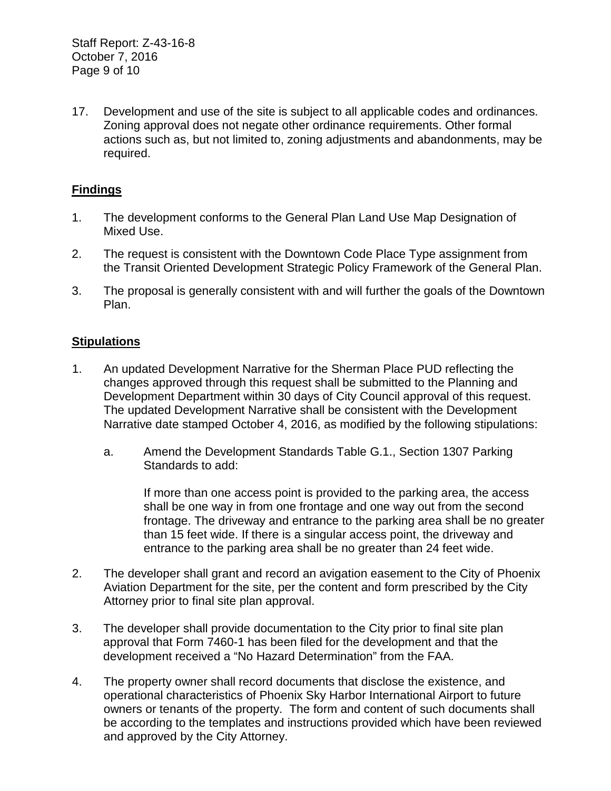17. Development and use of the site is subject to all applicable codes and ordinances. Zoning approval does not negate other ordinance requirements. Other formal actions such as, but not limited to, zoning adjustments and abandonments, may be required.

# **Findings**

- 1. The development conforms to the General Plan Land Use Map Designation of Mixed Use.
- 2. The request is consistent with the Downtown Code Place Type assignment from the Transit Oriented Development Strategic Policy Framework of the General Plan.
- 3. The proposal is generally consistent with and will further the goals of the Downtown Plan.

### **Stipulations**

- 1. An updated Development Narrative for the Sherman Place PUD reflecting the changes approved through this request shall be submitted to the Planning and Development Department within 30 days of City Council approval of this request. The updated Development Narrative shall be consistent with the Development Narrative date stamped October 4, 2016, as modified by the following stipulations:
	- a. Amend the Development Standards Table G.1., Section 1307 Parking Standards to add:

If more than one access point is provided to the parking area, the access shall be one way in from one frontage and one way out from the second frontage. The driveway and entrance to the parking area shall be no greater than 15 feet wide. If there is a singular access point, the driveway and entrance to the parking area shall be no greater than 24 feet wide.

- 2. The developer shall grant and record an avigation easement to the City of Phoenix Aviation Department for the site, per the content and form prescribed by the City Attorney prior to final site plan approval.
- 3. The developer shall provide documentation to the City prior to final site plan approval that Form 7460-1 has been filed for the development and that the development received a "No Hazard Determination" from the FAA.
- 4. The property owner shall record documents that disclose the existence, and operational characteristics of Phoenix Sky Harbor International Airport to future owners or tenants of the property. The form and content of such documents shall be according to the templates and instructions provided which have been reviewed and approved by the City Attorney.